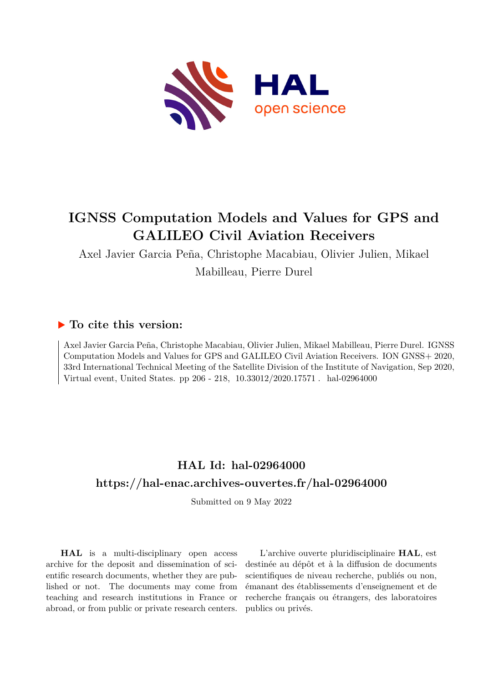

# **IGNSS Computation Models and Values for GPS and GALILEO Civil Aviation Receivers**

Axel Javier Garcia Peña, Christophe Macabiau, Olivier Julien, Mikael Mabilleau, Pierre Durel

# **To cite this version:**

Axel Javier Garcia Peña, Christophe Macabiau, Olivier Julien, Mikael Mabilleau, Pierre Durel. IGNSS Computation Models and Values for GPS and GALILEO Civil Aviation Receivers. ION GNSS+ 2020, 33rd International Technical Meeting of the Satellite Division of the Institute of Navigation, Sep 2020, Virtual event, United States. pp 206 - 218,  $10.33012/2020.17571$ . hal-02964000

# **HAL Id: hal-02964000 <https://hal-enac.archives-ouvertes.fr/hal-02964000>**

Submitted on 9 May 2022

**HAL** is a multi-disciplinary open access archive for the deposit and dissemination of scientific research documents, whether they are published or not. The documents may come from teaching and research institutions in France or abroad, or from public or private research centers.

L'archive ouverte pluridisciplinaire **HAL**, est destinée au dépôt et à la diffusion de documents scientifiques de niveau recherche, publiés ou non, émanant des établissements d'enseignement et de recherche français ou étrangers, des laboratoires publics ou privés.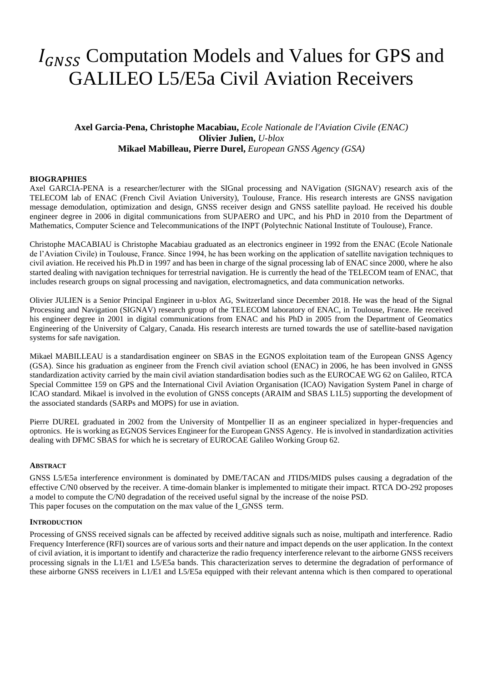# I<sub>GNSS</sub> Computation Models and Values for GPS and GALILEO L5/E5a Civil Aviation Receivers

# **Axel Garcia-Pena, Christophe Macabiau,** *Ecole Nationale de l'Aviation Civile (ENAC)* **Olivier Julien,** *U-blox* **Mikael Mabilleau, Pierre Durel,** *European GNSS Agency (GSA)*

# **BIOGRAPHIES**

Axel GARCIA-PENA is a researcher/lecturer with the SIGnal processing and NAVigation (SIGNAV) research axis of the TELECOM lab of ENAC (French Civil Aviation University), Toulouse, France. His research interests are GNSS navigation message demodulation, optimization and design, GNSS receiver design and GNSS satellite payload. He received his double engineer degree in 2006 in digital communications from SUPAERO and UPC, and his PhD in 2010 from the Department of Mathematics, Computer Science and Telecommunications of the INPT (Polytechnic National Institute of Toulouse), France.

Christophe MACABIAU is Christophe Macabiau graduated as an electronics engineer in 1992 from the ENAC (Ecole Nationale de l'Aviation Civile) in Toulouse, France. Since 1994, he has been working on the application of satellite navigation techniques to civil aviation. He received his Ph.D in 1997 and has been in charge of the signal processing lab of ENAC since 2000, where he also started dealing with navigation techniques for terrestrial navigation. He is currently the head of the TELECOM team of ENAC, that includes research groups on signal processing and navigation, electromagnetics, and data communication networks.

Olivier JULIEN is a Senior Principal Engineer in u-blox AG, Switzerland since December 2018. He was the head of the Signal Processing and Navigation (SIGNAV) research group of the TELECOM laboratory of ENAC, in Toulouse, France. He received his engineer degree in 2001 in digital communications from ENAC and his PhD in 2005 from the Department of Geomatics Engineering of the University of Calgary, Canada. His research interests are turned towards the use of satellite-based navigation systems for safe navigation.

Mikael MABILLEAU is a standardisation engineer on SBAS in the EGNOS exploitation team of the European GNSS Agency (GSA). Since his graduation as engineer from the French civil aviation school (ENAC) in 2006, he has been involved in GNSS standardization activity carried by the main civil aviation standardisation bodies such as the EUROCAE WG 62 on Galileo, RTCA Special Committee 159 on GPS and the International Civil Aviation Organisation (ICAO) Navigation System Panel in charge of ICAO standard. Mikael is involved in the evolution of GNSS concepts (ARAIM and SBAS L1L5) supporting the development of the associated standards (SARPs and MOPS) for use in aviation.

Pierre DUREL graduated in 2002 from the University of Montpellier II as an engineer specialized in hyper-frequencies and optronics. He is working as EGNOS Services Engineer for the European GNSS Agency. He is involved in standardization activities dealing with DFMC SBAS for which he is secretary of EUROCAE Galileo Working Group 62.

## **ABSTRACT**

GNSS L5/E5a interference environment is dominated by DME/TACAN and JTIDS/MIDS pulses causing a degradation of the effective C/N0 observed by the receiver. A time-domain blanker is implemented to mitigate their impact. RTCA DO-292 proposes a model to compute the C/N0 degradation of the received useful signal by the increase of the noise PSD. This paper focuses on the computation on the max value of the I\_GNSS term.

#### **INTRODUCTION**

Processing of GNSS received signals can be affected by received additive signals such as noise, multipath and interference. Radio Frequency Interference (RFI) sources are of various sorts and their nature and impact depends on the user application. In the context of civil aviation, it is important to identify and characterize the radio frequency interference relevant to the airborne GNSS receivers processing signals in the L1/E1 and L5/E5a bands. This characterization serves to determine the degradation of performance of these airborne GNSS receivers in L1/E1 and L5/E5a equipped with their relevant antenna which is then compared to operational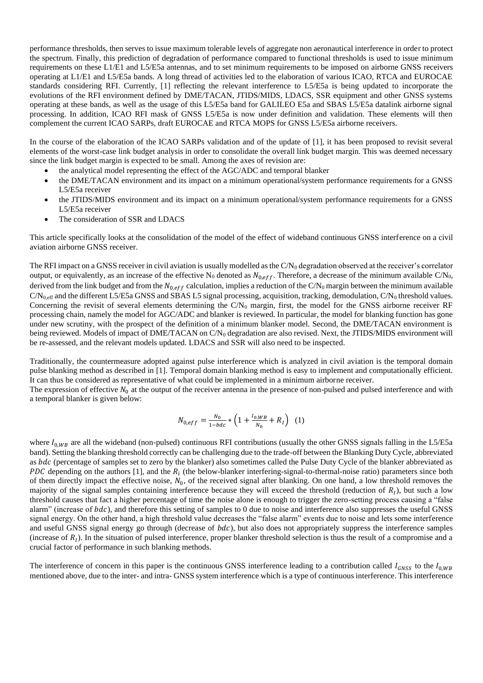performance thresholds, then serves to issue maximum tolerable levels of aggregate non aeronautical interference in order to protect the spectrum. Finally, this prediction of degradation of performance compared to functional thresholds is used to issue minimum requirements on these L1/E1 and L5/E5a antennas, and to set minimum requirements to be imposed on airborne GNSS receivers operating at L1/E1 and L5/E5a bands. A long thread of activities led to the elaboration of various ICAO, RTCA and EUROCAE standards considering RFI. Currently, [1] reflecting the relevant interference to L5/E5a is being updated to incorporate the evolutions of the RFI environment defined by DME/TACAN, JTIDS/MIDS, LDACS, SSR equipment and other GNSS systems operating at these bands, as well as the usage of this L5/E5a band for GALILEO E5a and SBAS L5/E5a datalink airborne signal processing. In addition, ICAO RFI mask of GNSS L5/E5a is now under definition and validation. These elements will then complement the current ICAO SARPs, draft EUROCAE and RTCA MOPS for GNSS L5/E5a airborne receivers.

In the course of the elaboration of the ICAO SARPs validation and of the update of [1], it has been proposed to revisit several elements of the worst-case link budget analysis in order to consolidate the overall link budget margin. This was deemed necessary since the link budget margin is expected to be small. Among the axes of revision are:

- the analytical model representing the effect of the AGC/ADC and temporal blanker
- the DME/TACAN environment and its impact on a minimum operational/system performance requirements for a GNSS L5/E5a receiver
- the JTIDS/MIDS environment and its impact on a minimum operational/system performance requirements for a GNSS L5/E5a receiver
- The consideration of SSR and LDACS

This article specifically looks at the consolidation of the model of the effect of wideband continuous GNSS interference on a civil aviation airborne GNSS receiver.

The RFI impact on a GNSS receiver in civil aviation is usually modelled as the  $C/N_0$  degradation observed at the receiver's correlator output, or equivalently, as an increase of the effective N<sub>0</sub> denoted as  $N_{0,eff}$ . Therefore, a decrease of the minimum available C/N<sub>0</sub>, derived from the link budget and from the  $N_{0,eff}$  calculation, implies a reduction of the C/N<sub>0</sub> margin between the minimum available  $C/N_{0,\text{eff}}$  and the different L5/E5a GNSS and SBAS L5 signal processing, acquisition, tracking, demodulation,  $C/N_0$  threshold values. Concerning the revisit of several elements determining the  $C/N_0$  margin, first, the model for the GNSS airborne receiver RF processing chain, namely the model for AGC/ADC and blanker is reviewed. In particular, the model for blanking function has gone under new scrutiny, with the prospect of the definition of a minimum blanker model. Second, the DME/TACAN environment is being reviewed. Models of impact of DME/TACAN on  $C/N_0$  degradation are also revised. Next, the JTIDS/MIDS environment will be re-assessed, and the relevant models updated. LDACS and SSR will also need to be inspected.

Traditionally, the countermeasure adopted against pulse interference which is analyzed in civil aviation is the temporal domain pulse blanking method as described in [1]. Temporal domain blanking method is easy to implement and computationally efficient. It can thus be considered as representative of what could be implemented in a minimum airborne receiver.

The expression of effective  $N_0$  at the output of the receiver antenna in the presence of non-pulsed and pulsed interference and with a temporal blanker is given below:

$$
N_{0,eff} = \frac{N_0}{1 - bdc} * \left(1 + \frac{I_{0,WB}}{N_0} + R_I\right) \tag{1}
$$

where  $I_{0, WB}$  are all the wideband (non-pulsed) continuous RFI contributions (usually the other GNSS signals falling in the L5/E5a band). Setting the blanking threshold correctly can be challenging due to the trade-off between the Blanking Duty Cycle, abbreviated as *bdc* (percentage of samples set to zero by the blanker) also sometimes called the Pulse Duty Cycle of the blanker abbreviated as PDC depending on the authors [1], and the  $R_i$  (the below-blanker interfering-signal-to-thermal-noise ratio) parameters since both of them directly impact the effective noise,  $N_0$ , of the received signal after blanking. On one hand, a low threshold removes the majority of the signal samples containing interference because they will exceed the threshold (reduction of  $R_1$ ), but such a low threshold causes that fact a higher percentage of time the noise alone is enough to trigger the zero-setting process causing a "false alarm" (increase of  $bdc$ ), and therefore this setting of samples to 0 due to noise and interference also suppresses the useful GNSS signal energy. On the other hand, a high threshold value decreases the "false alarm" events due to noise and lets some interference and useful GNSS signal energy go through (decrease of  $bdc$ ), but also does not appropriately suppress the interference samples (increase of  $R_I$ ). In the situation of pulsed interference, proper blanker threshold selection is thus the result of a compromise and a crucial factor of performance in such blanking methods.

The interference of concern in this paper is the continuous GNSS interference leading to a contribution called  $I_{GNSS}$  to the  $I_{0,WB}$ mentioned above, due to the inter- and intra- GNSS system interference which is a type of continuous interference. This interference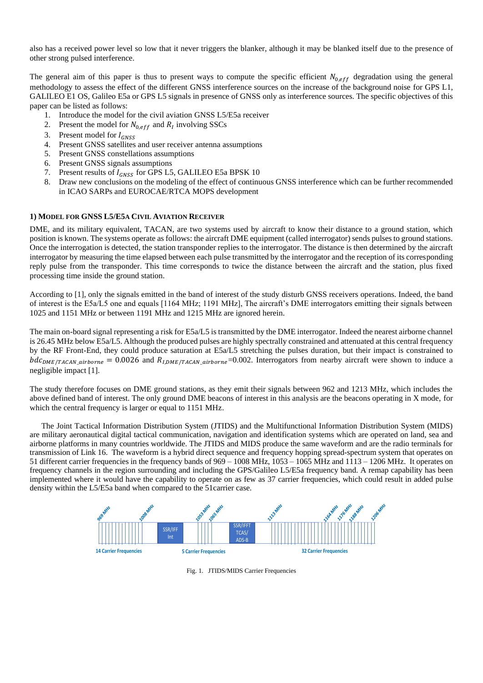also has a received power level so low that it never triggers the blanker, although it may be blanked itself due to the presence of other strong pulsed interference.

The general aim of this paper is thus to present ways to compute the specific efficient  $N_{0,eff}$  degradation using the general methodology to assess the effect of the different GNSS interference sources on the increase of the background noise for GPS L1, GALILEO E1 OS, Galileo E5a or GPS L5 signals in presence of GNSS only as interference sources. The specific objectives of this paper can be listed as follows:

- 1. Introduce the model for the civil aviation GNSS L5/E5a receiver
- 2. Present the model for  $N_{0,eff}$  and  $R_I$  involving SSCs
- 3. Present model for  $I_{GNSS}$
- 4. Present GNSS satellites and user receiver antenna assumptions
- 5. Present GNSS constellations assumptions
- 6. Present GNSS signals assumptions
- 7. Present results of  $I_{GNSS}$  for GPS L5, GALILEO E5a BPSK 10<br>8. Draw new conclusions on the modeling of the effect of continu
- 8. Draw new conclusions on the modeling of the effect of continuous GNSS interference which can be further recommended in ICAO SARPs and EUROCAE/RTCA MOPS development

#### **1) MODEL FOR GNSS L5/E5A CIVIL AVIATION RECEIVER**

DME, and its military equivalent, TACAN, are two systems used by aircraft to know their distance to a ground station, which position is known. The systems operate as follows: the aircraft DME equipment (called interrogator) sends pulses to ground stations. Once the interrogation is detected, the station transponder replies to the interrogator. The distance is then determined by the aircraft interrogator by measuring the time elapsed between each pulse transmitted by the interrogator and the reception of its corresponding reply pulse from the transponder. This time corresponds to twice the distance between the aircraft and the station, plus fixed processing time inside the ground station.

According to [1], only the signals emitted in the band of interest of the study disturb GNSS receivers operations. Indeed, the band of interest is the E5a/L5 one and equals [1164 MHz; 1191 MHz], The aircraft's DME interrogators emitting their signals between 1025 and 1151 MHz or between 1191 MHz and 1215 MHz are ignored herein.

The main on-board signal representing a risk for E5a/L5 is transmitted by the DME interrogator. Indeed the nearest airborne channel is 26.45 MHz below E5a/L5. Although the produced pulses are highly spectrally constrained and attenuated at this central frequency by the RF Front-End, they could produce saturation at E5a/L5 stretching the pulses duration, but their impact is constrained to  $bdc_{DME/TACAN\_airborne} = 0.0026$  and  $R_{I,DME/TACAN\_airborne} = 0.002$ . Interrogators from nearby aircraft were shown to induce a negligible impact [1].

The study therefore focuses on DME ground stations, as they emit their signals between 962 and 1213 MHz, which includes the above defined band of interest. The only ground DME beacons of interest in this analysis are the beacons operating in X mode, for which the central frequency is larger or equal to 1151 MHz.

The Joint Tactical Information Distribution System (JTIDS) and the Multifunctional Information Distribution System (MIDS) are military aeronautical digital tactical communication, navigation and identification systems which are operated on land, sea and airborne platforms in many countries worldwide. The JTIDS and MIDS produce the same waveform and are the radio terminals for transmission of Link 16. The waveform is a hybrid direct sequence and frequency hopping spread-spectrum system that operates on 51 different carrier frequencies in the frequency bands of 969 – 1008 MHz, 1053 – 1065 MHz and 1113 – 1206 MHz. It operates on frequency channels in the region surrounding and including the GPS/Galileo L5/E5a frequency band. A remap capability has been implemented where it would have the capability to operate on as few as 37 carrier frequencies, which could result in added pulse density within the L5/E5a band when compared to the 51carrier case.



Fig. 1. JTIDS/MIDS Carrier Frequencies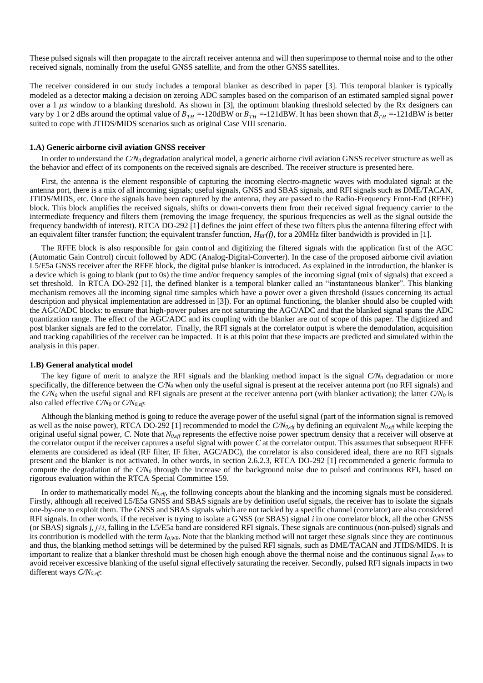These pulsed signals will then propagate to the aircraft receiver antenna and will then superimpose to thermal noise and to the other received signals, nominally from the useful GNSS satellite, and from the other GNSS satellites.

The receiver considered in our study includes a temporal blanker as described in paper [3]. This temporal blanker is typically modeled as a detector making a decision on zeroing ADC samples based on the comparison of an estimated sampled signal power over a 1  $\mu$ s window to a blanking threshold. As shown in [3], the optimum blanking threshold selected by the Rx designers can vary by 1 or 2 dBs around the optimal value of  $B_{TH} = -120$ dBW or  $B_{TH} = -121$ dBW. It has been shown that  $B_{TH} = -121$ dBW is better suited to cope with JTIDS/MIDS scenarios such as original Case VIII scenario.

#### **1.A) Generic airborne civil aviation GNSS receiver**

In order to understand the  $C/N<sub>0</sub>$  degradation analytical model, a generic airborne civil aviation GNSS receiver structure as well as the behavior and effect of its components on the received signals are described. The receiver structure is presented here.

First, the antenna is the element responsible of capturing the incoming electro-magnetic waves with modulated signal: at the antenna port, there is a mix of all incoming signals; useful signals, GNSS and SBAS signals, and RFI signals such as DME/TACAN, JTIDS/MIDS, etc. Once the signals have been captured by the antenna, they are passed to the Radio-Frequency Front-End (RFFE) block. This block amplifies the received signals, shifts or down-converts them from their received signal frequency carrier to the intermediate frequency and filters them (removing the image frequency, the spurious frequencies as well as the signal outside the frequency bandwidth of interest). RTCA DO-29[2 \[1\]](#page-13-0) defines the joint effect of these two filters plus the antenna filtering effect with an equivalent filter transfer function; the equivalent transfer function, *HRF(f)*, for a 20MHz filter bandwidth is provided in [1].

The RFFE block is also responsible for gain control and digitizing the filtered signals with the application first of the AGC (Automatic Gain Control) circuit followed by ADC (Analog-Digital-Converter). In the case of the proposed airborne civil aviation L5/E5a GNSS receiver after the RFFE block, the digital pulse blanker is introduced. As explained in the introduction, the blanker is a device which is going to blank (put to 0s) the time and/or frequency samples of the incoming signal (mix of signals) that exceed a set threshold. In RTCA DO-292 [\[1\],](#page-13-0) the defined blanker is a temporal blanker called an "instantaneous blanker". This blanking mechanism removes all the incoming signal time samples which have a power over a given threshold (issues concerning its actual description and physical implementation are addressed in [3]). For an optimal functioning, the blanker should also be coupled with the AGC/ADC blocks: to ensure that high-power pulses are not saturating the AGC/ADC and that the blanked signal spans the ADC quantization range. The effect of the AGC/ADC and its coupling with the blanker are out of scope of this paper. The digitized and post blanker signals are fed to the correlator. Finally, the RFI signals at the correlator output is where the demodulation, acquisition and tracking capabilities of the receiver can be impacted. It is at this point that these impacts are predicted and simulated within the analysis in this paper.

#### **1.B) General analytical model**

The key figure of merit to analyze the RFI signals and the blanking method impact is the signal *C/N<sup>0</sup>* degradation or more specifically, the difference between the  $C/N<sub>0</sub>$  when only the useful signal is present at the receiver antenna port (no RFI signals) and the *C/N<sup>0</sup>* when the useful signal and RFI signals are present at the receiver antenna port (with blanker activation); the latter *C/N<sup>0</sup>* is also called effective *C/N<sup>0</sup>* or *C/N0,eff*.

Although the blanking method is going to reduce the average power of the useful signal (part of the information signal is removed as well as the noise power), RTCA DO-292 [\[1\]](#page-13-0) recommended to model the *C/N0,eff* by defining an equivalent *N0,eff* while keeping the original useful signal power, *C*. Note that *N0,eff* represents the effective noise power spectrum density that a receiver will observe at the correlator output if the receiver captures a useful signal with power *C* at the correlator output. This assumes that subsequent RFFE elements are considered as ideal (RF filter, IF filter, AGC/ADC), the correlator is also considered ideal, there are no RFI signals present and the blanker is not activated. In other words, in section 2.6.2.3, RTCA DO-292 [\[1\]](#page-13-0) recommended a generic formula to compute the degradation of the *C/N<sup>0</sup>* through the increase of the background noise due to pulsed and continuous RFI, based on rigorous evaluation within the RTCA Special Committee 159.

In order to mathematically model *N0,eff*, the following concepts about the blanking and the incoming signals must be considered. Firstly, although all received L5/E5a GNSS and SBAS signals are by definition useful signals, the receiver has to isolate the signals one-by-one to exploit them. The GNSS and SBAS signals which are not tackled by a specific channel (correlator) are also considered RFI signals. In other words, if the receiver is trying to isolate a GNSS (or SBAS) signal *i* in one correlator block, all the other GNSS (or SBAS) signals *j, j≠i*, falling in the L5/E5a band are considered RFI signals. These signals are continuous (non-pulsed) signals and its contribution is modelled with the term *I0,WB*. Note that the blanking method will not target these signals since they are continuous and thus, the blanking method settings will be determined by the pulsed RFI signals, such as DME/TACAN and JTIDS/MIDS. It is important to realize that a blanker threshold must be chosen high enough above the thermal noise and the continuous signal *I0,WB* to avoid receiver excessive blanking of the useful signal effectively saturating the receiver. Secondly, pulsed RFI signals impacts in two different ways *C/N0,eff*: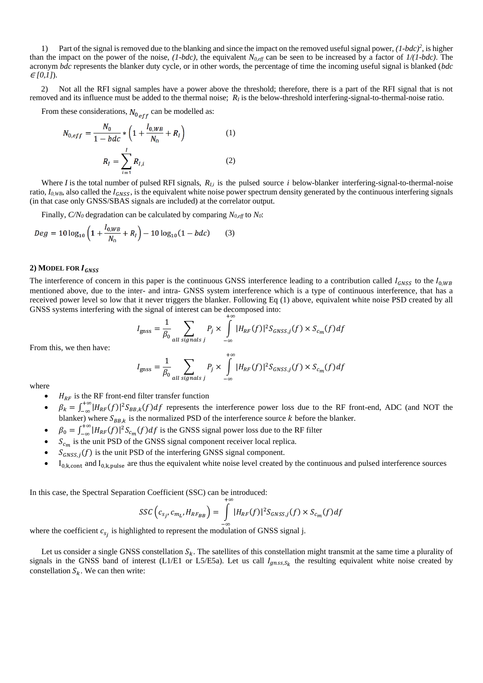1) Part of the signal is removed due to the blanking and since the impact on the removed useful signal power, *(1-bdc)<sup>2</sup>* , is higher than the impact on the power of the noise, *(1-bdc)*, the equivalent *N0,eff* can be seen to be increased by a factor of *1/(1-bdc)*. The acronym *bdc* represents the blanker duty cycle, or in other words, the percentage of time the incoming useful signal is blanked (*bdc*   $E[0,1]$ ).

2) Not all the RFI signal samples have a power above the threshold; therefore, there is a part of the RFI signal that is not removed and its influence must be added to the thermal noise; *R<sup>I</sup>* is the below-threshold interfering-signal-to-thermal-noise ratio.

From these considerations,  $N_{0,eff}$  can be modelled as:

$$
N_{0,eff} = \frac{N_0}{1 - bdc} * \left(1 + \frac{I_{0,WB}}{N_0} + R_I\right)
$$
(1)  

$$
R_I = \sum_{i=1}^{I} R_{I,i}
$$
(2)

Where *I* is the total number of pulsed RFI signals, *RI,i* is the pulsed source *i* below-blanker interfering-signal-to-thermal-noise ratio,  $I_{0,WB}$ , also called the  $I_{GNSS}$ , is the equivalent white noise power spectrum density generated by the continuous interfering signals (in that case only GNSS/SBAS signals are included) at the correlator output.

Finally,  $C/N_0$  degradation can be calculated by comparing  $N_{0,eff}$  to  $N_0$ :

$$
Deg = 10 \log_{10} \left( 1 + \frac{I_{0, WB}}{N_0} + R_I \right) - 10 \log_{10} (1 - bdc) \tag{3}
$$

#### **2) MODEL FOR**

The interference of concern in this paper is the continuous GNSS interference leading to a contribution called  $I_{GNSS}$  to the  $I_{0,WB}$ mentioned above, due to the inter- and intra- GNSS system interference which is a type of continuous interference, that has a received power level so low that it never triggers the blanker. Following Eq (1) above, equivalent white noise PSD created by all GNSS systems interfering with the signal of interest can be decomposed into:

$$
I_{\text{gnss}} = \frac{1}{\beta_0} \sum_{all \text{ signals } j} P_j \times \int_{-\infty}^{+\infty} |H_{RF}(f)|^2 S_{GNSS,j}(f) \times S_{c_m}(f) df
$$

From this, we then have:

$$
I_{\text{gnss}} = \frac{1}{\beta_0} \sum_{all \text{ signals } j} P_j \times \int_{-\infty}^{+\infty} |H_{RF}(f)|^2 S_{GNSS,j}(f) \times S_{c_m}(f) df
$$

where

- $H_{RF}$  is the RF front-end filter transfer function
- $\theta_k = \int_{-\infty}^{+\infty} |H_{RF}(f)|^2 S_{BB,k}(f) df$  represents the interference power loss due to the RF front-end, ADC (and NOT the blanker) where  $S_{BB,k}$  is the normalized PSD of the interference source k before the blanker.
- $\beta_0 = \int_{-\infty}^{+\infty} |H_{RF}(f)|^2 S_{c_m}(f) df$  is the GNSS signal power loss due to the RF filter
- $S_{c_m}$  is the unit PSD of the GNSS signal component receiver local replica.
- $S_{GNSS,j}(f)$  is the unit PSD of the interfering GNSS signal component.
- $I_{0,k,cont}$  and  $I_{0,k,pulse}$  are thus the equivalent white noise level created by the continuous and pulsed interference sources

In this case, the Spectral Separation Coefficient (SSC) can be introduced:

$$
SSC\left(c_{s_j}, c_{m_L}, H_{RF_{BB}}\right) = \int\limits_{-\infty}^{+\infty} |H_{RF}(f)|^2 S_{GNSS,j}(f) \times S_{c_m}(f) df
$$

where the coefficient  $c_{s_j}$  is highlighted to represent the modulation of GNSS signal j.

Let us consider a single GNSS constellation  $S_k$ . The satellites of this constellation might transmit at the same time a plurality of signals in the GNSS band of interest (L1/E1 or L5/E5a). Let us call  $I_{gnss,S_k}$  the resulting equivalent white noise created by constellation  $S_k$ . We can then write: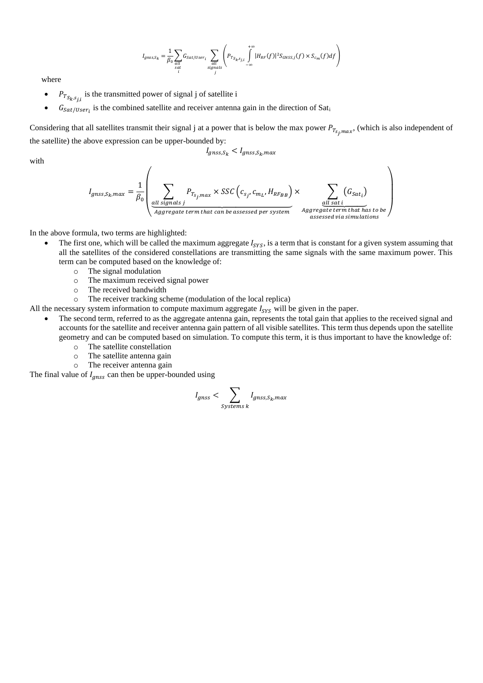$$
I_{gnss,S_k} = \frac{1}{\beta_0} \sum_{\substack{all \ sat \text{set/User}_i \\ i}} G_{Sat/User_i} \sum_{\substack{all \ signals \\ sign \text{set}}} \left( P_{T_{S_k, s_{j,i}}} \int_{-\infty}^{+\infty} |H_{RF}(f)|^2 S_{GNSS,j}(f) \times S_{c_m}(f) df \right)
$$

where

- $P_{T_{S_k, S_{j,i}}}$  is the transmitted power of signal j of satellite i
- $G_{Sat/User_i}$  is the combined satellite and receiver antenna gain in the direction of Sati

Considering that all satellites transmit their signal j at a power that is below the max power  $P_{T_{s_j,max}}$ , (which is also independent of the satellite) the above expression can be upper-bounded by:

 $I_{qnss,S_k} < I_{qnss,S_k,max}$ 

with

$$
I_{gnss,S_k,max} = \frac{1}{\beta_0} \left( \sum_{\substack{\text{all signals } j \\ \text{aggregate term that can be assessed per system} \text{ }}} P_{T_{S_j,max}} \times SSC\left(c_{s_j}, c_{m_l}, H_{RF_{BB}}\right) \times \sum_{\substack{\text{all sat } i \\ \text{all sat } i \\ \text{associated term that has to be}}} (G_{sat_i})
$$

In the above formula, two terms are highlighted:

- The first one, which will be called the maximum aggregate  $I_{SYS}$ , is a term that is constant for a given system assuming that all the satellites of the considered constellations are transmitting the same signals with the same maximum power. This term can be computed based on the knowledge of:
	- o The signal modulation
	- o The maximum received signal power
	- o The received bandwidth
	- o The receiver tracking scheme (modulation of the local replica)
- All the necessary system information to compute maximum aggregate  $I_{SVS}$  will be given in the paper.
	- The second term, referred to as the aggregate antenna gain, represents the total gain that applies to the received signal and accounts for the satellite and receiver antenna gain pattern of all visible satellites. This term thus depends upon the satellite geometry and can be computed based on simulation. To compute this term, it is thus important to have the knowledge of:
		- o The satellite constellation
		- o The satellite antenna gain
		- o The receiver antenna gain

The final value of  $I_{qnss}$  can then be upper-bounded using

$$
I_{gnss} < \sum_{\text{systems } k} I_{gnss,S_k,max}
$$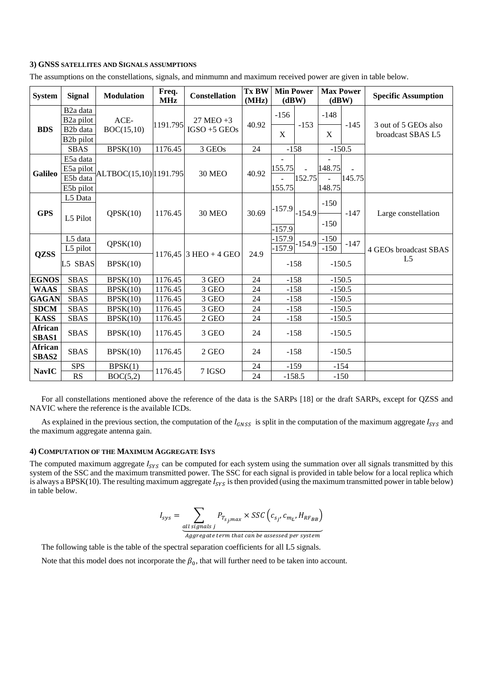## **3) GNSS SATELLITES AND SIGNALS ASSUMPTIONS**

The assumptions on the constellations, signals, and minmumn and maximum received power are given in table below.

| <b>System</b>           | <b>Signal</b>                                                                                      | <b>Modulation</b>     | Freq.<br><b>MHz</b> | <b>Constellation</b>               | <b>Tx BW</b><br>(MHz) | <b>Min Power</b>   | (dBW)                    | <b>Max Power</b><br>(dBW) |          | <b>Specific Assumption</b>                |
|-------------------------|----------------------------------------------------------------------------------------------------|-----------------------|---------------------|------------------------------------|-----------------------|--------------------|--------------------------|---------------------------|----------|-------------------------------------------|
| <b>BDS</b>              | B <sub>2</sub> a data<br>B <sub>2</sub> a pilot<br>B <sub>2</sub> b data<br>B <sub>2</sub> b pilot | ACE-<br>BOC(15,10)    | 1191.795            | $27$ MEO $+3$<br>$IGSO + 5$ $GEOs$ | 40.92                 | $-156$<br>X        | $-153$                   | $-148$<br>X               | $-145$   | 3 out of 5 GEOs also<br>broadcast SBAS L5 |
|                         | <b>SBAS</b>                                                                                        | BPSK(10)              | 1176.45             | 3 GEOs                             | 24                    |                    | $-158$                   |                           | $-150.5$ |                                           |
| <b>Galileo</b>          | E5a data<br>E5a pilot<br>E5b data<br>E5b pilot                                                     | ALTBOC(15,10) 191.795 |                     | <b>30 MEO</b>                      | 40.92                 | 155.75<br>155.75   | $\sim$<br>152.75         | 148.75<br>148.75          | 145.75   |                                           |
| <b>GPS</b>              | L5 Data<br>L5 Pilot                                                                                | QPSK(10)              | 1176.45             | <b>30 MEO</b>                      | 30.69                 | $-157.9$<br>-157.9 | $-154.9$                 | $-150$<br>$-150$          | $-147$   | Large constellation                       |
| <b>QZSS</b>             | L5 data<br>L5 pilot                                                                                | QPSK(10)              |                     | 1176,45 3 HEO + 4 GEO              | 24.9                  | $-157.9$           | $\frac{1}{157.9}$ -154.9 | $-150$<br>$-150$          | $-147$   | 4 GEOs broadcast SBAS                     |
|                         | L5 SBAS                                                                                            | BPSK(10)              |                     |                                    |                       |                    | $-158$                   | $-150.5$                  |          | L <sub>5</sub>                            |
| <b>EGNOS</b>            | <b>SBAS</b>                                                                                        | BPSK(10)              | 1176.45             | $3\,\mathrm{GEO}$                  | 24                    |                    | $-158$                   | $-150.5$                  |          |                                           |
| <b>WAAS</b>             | <b>SBAS</b>                                                                                        | BPSK(10)              | 1176.45             | 3 GEO                              | 24                    |                    | $-158$                   | $-150.5$                  |          |                                           |
| <b>GAGAN</b>            | <b>SBAS</b>                                                                                        | BPSK(10)              | 1176.45             | $3\,\mathrm{GEO}$                  | 24                    |                    | $-158$                   | $-150.5$                  |          |                                           |
| <b>SDCM</b>             | <b>SBAS</b>                                                                                        | BPSK(10)              | 1176.45             | 3 GEO                              | 24                    |                    | $-158$                   | $-150.5$                  |          |                                           |
| <b>KASS</b>             | <b>SBAS</b>                                                                                        | BPSK(10)              | 1176.45             | $2\;\mathrm{GEO}$                  | 24                    | $-158$             |                          | $-150.5$                  |          |                                           |
| <b>African</b><br>SBAS1 | <b>SBAS</b>                                                                                        | BPSK(10)              | 1176.45             | 3 GEO                              | 24                    |                    | $-158$                   | $-150.5$                  |          |                                           |
| <b>African</b><br>SBAS2 | <b>SBAS</b>                                                                                        | BPSK(10)              | 1176.45             | 2 GEO                              | 24                    |                    | $-158$                   | $-150.5$                  |          |                                           |
| <b>NavIC</b>            | <b>SPS</b><br>RS                                                                                   | BPSK(1)<br>BOC(5,2)   | 1176.45             | 7 IGSO                             | 24<br>24              |                    | $-159$<br>$-158.5$       | $-154$<br>$-150$          |          |                                           |

For all constellations mentioned above the reference of the data is the SARPs [18] or the draft SARPs, except for QZSS and NAVIC where the reference is the available ICDs.

As explained in the previous section, the computation of the  $I_{GNSS}$  is split in the computation of the maximum aggregate  $I_{SYS}$  and the maximum aggregate antenna gain.

### **4) COMPUTATION OF THE MAXIMUM AGGREGATE ISYS**

The computed maximum aggregate  $I_{SYS}$  can be computed for each system using the summation over all signals transmitted by this system of the SSC and the maximum transmitted power. The SSC for each signal is provided in table below for a local replica which is always a BPSK(10). The resulting maximum aggregate  $I_{SYS}$  is then provided (using the maximum transmitted power in table below) in table below.

$$
I_{sys} = \sum_{all \text{ signals } j} P_{T_{S_j, max}} \times SSC\left(c_{S_j}, c_{m_L}, H_{RF_{BB}}\right)
$$

Aggregate term that can be assessed per system

The following table is the table of the spectral separation coefficients for all L5 signals.

Note that this model does not incorporate the  $\beta_0$ , that will further need to be taken into account.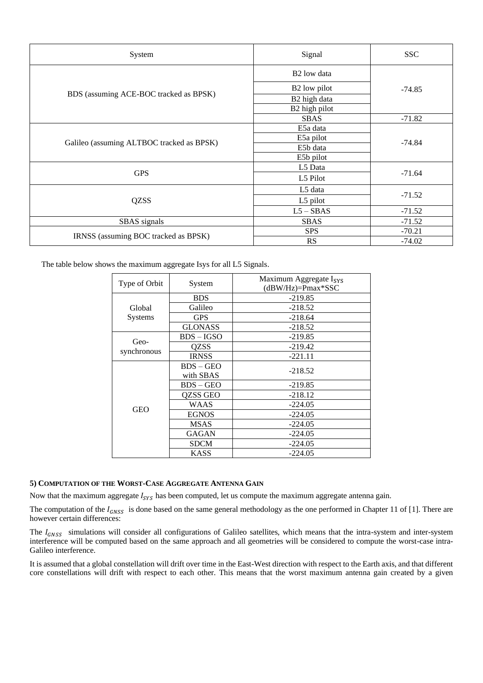| System                                    | Signal                   | <b>SSC</b> |  |
|-------------------------------------------|--------------------------|------------|--|
|                                           | B <sub>2</sub> low data  | $-74.85$   |  |
|                                           | B <sub>2</sub> low pilot |            |  |
| BDS (assuming ACE-BOC tracked as BPSK)    | B2 high data             |            |  |
|                                           | B2 high pilot            |            |  |
|                                           | <b>SBAS</b>              | $-71.82$   |  |
|                                           | E5a data                 |            |  |
|                                           | E5a pilot                | $-74.84$   |  |
| Galileo (assuming ALTBOC tracked as BPSK) | E5b data                 |            |  |
|                                           | E5b pilot                |            |  |
|                                           | L5 Data                  | $-71.64$   |  |
| <b>GPS</b>                                | L5 Pilot                 |            |  |
|                                           | L5 data                  |            |  |
| <b>QZSS</b>                               | L5 pilot                 | $-71.52$   |  |
|                                           | $L5 - SBAS$              | $-71.52$   |  |
| SBAS signals                              | <b>SBAS</b>              | $-71.52$   |  |
|                                           | <b>SPS</b>               | $-70.21$   |  |
| IRNSS (assuming BOC tracked as BPSK)      | <b>RS</b>                | $-74.02$   |  |

The table below shows the maximum aggregate Isys for all L5 Signals.

| Type of Orbit  | System         | Maximum Aggregate I <sub>SYS</sub><br>$(dBW/Hz) = Pmax*SSC$ |  |  |  |
|----------------|----------------|-------------------------------------------------------------|--|--|--|
|                | <b>BDS</b>     | $-219.85$                                                   |  |  |  |
| Global         | Galileo        | $-218.52$                                                   |  |  |  |
| <b>Systems</b> | <b>GPS</b>     | $-218.64$                                                   |  |  |  |
|                | <b>GLONASS</b> | $-218.52$                                                   |  |  |  |
|                | $BDS - IGSO$   | $-219.85$                                                   |  |  |  |
| Geo-           | <b>OZSS</b>    | $-219.42$                                                   |  |  |  |
| synchronous    | <b>IRNSS</b>   | $-221.11$                                                   |  |  |  |
|                | $BDS - GEO$    | $-218.52$                                                   |  |  |  |
|                | with SBAS      |                                                             |  |  |  |
|                | $BDS - GEO$    | $-219.85$                                                   |  |  |  |
|                | QZSS GEO       | $-218.12$                                                   |  |  |  |
|                | WAAS           | $-224.05$                                                   |  |  |  |
| <b>GEO</b>     | <b>EGNOS</b>   | $-224.05$                                                   |  |  |  |
|                | <b>MSAS</b>    | $-224.05$                                                   |  |  |  |
|                | <b>GAGAN</b>   | $-224.05$                                                   |  |  |  |
|                | <b>SDCM</b>    | $-224.05$                                                   |  |  |  |
|                | <b>KASS</b>    | $-224.05$                                                   |  |  |  |

# **5) COMPUTATION OF THE WORST-CASE AGGREGATE ANTENNA GAIN**

Now that the maximum aggregate  $I_{SYS}$  has been computed, let us compute the maximum aggregate antenna gain.

The computation of the  $I_{GNSS}$  is done based on the same general methodology as the one performed in Chapter 11 of [1]. There are however certain differences:

The  $I_{GNSS}$  simulations will consider all configurations of Galileo satellites, which means that the intra-system and inter-system interference will be computed based on the same approach and all geometries will be considered to compute the worst-case intra-Galileo interference.

It is assumed that a global constellation will drift over time in the East-West direction with respect to the Earth axis, and that different core constellations will drift with respect to each other. This means that the worst maximum antenna gain created by a given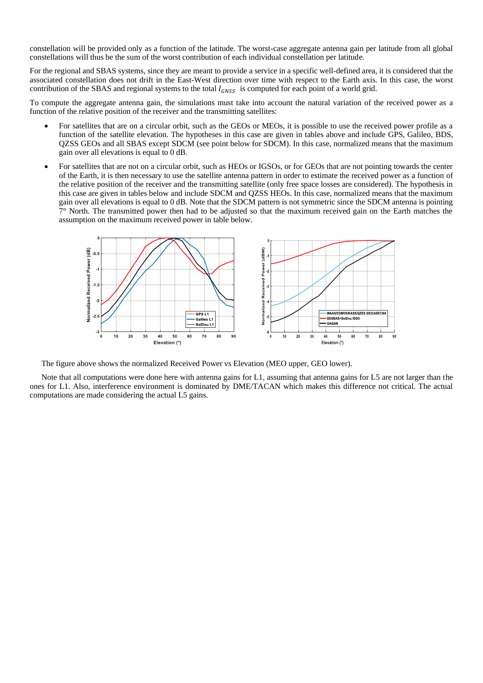constellation will be provided only as a function of the latitude. The worst-case aggregate antenna gain per latitude from all global constellations will thus be the sum of the worst contribution of each individual constellation per latitude.

For the regional and SBAS systems, since they are meant to provide a service in a specific well-defined area, it is considered that the associated constellation does not drift in the East-West direction over time with respect to the Earth axis. In this case, the worst contribution of the SBAS and regional systems to the total  $I_{GNSS}$  is computed for each point of a world grid.

To compute the aggregate antenna gain, the simulations must take into account the natural variation of the received power as a function of the relative position of the receiver and the transmitting satellites:

- For satellites that are on a circular orbit, such as the GEOs or MEOs, it is possible to use the received power profile as a function of the satellite elevation. The hypotheses in this case are given in tables above and include GPS, Galileo, BDS, QZSS GEOs and all SBAS except SDCM (see point below for SDCM). In this case, normalized means that the maximum gain over all elevations is equal to 0 dB.
- For satellites that are not on a circular orbit, such as HEOs or IGSOs, or for GEOs that are not pointing towards the center of the Earth, it is then necessary to use the satellite antenna pattern in order to estimate the received power as a function of the relative position of the receiver and the transmitting satellite (only free space losses are considered). The hypothesis in this case are given in tables below and include SDCM and QZSS HEOs. In this case, normalized means that the maximum gain over all elevations is equal to 0 dB. Note that the SDCM pattern is not symmetric since the SDCM antenna is pointing 7° North. The transmitted power then had to be adjusted so that the maximum received gain on the Earth matches the assumption on the maximum received power in table below.



The figure above shows the normalized Received Power vs Elevation (MEO upper, GEO lower).

Note that all computations were done here with antenna gains for L1, assuming that antenna gains for L5 are not larger than the ones for L1. Also, interference environment is dominated by DME/TACAN which makes this difference not critical. The actual computations are made considering the actual L5 gains.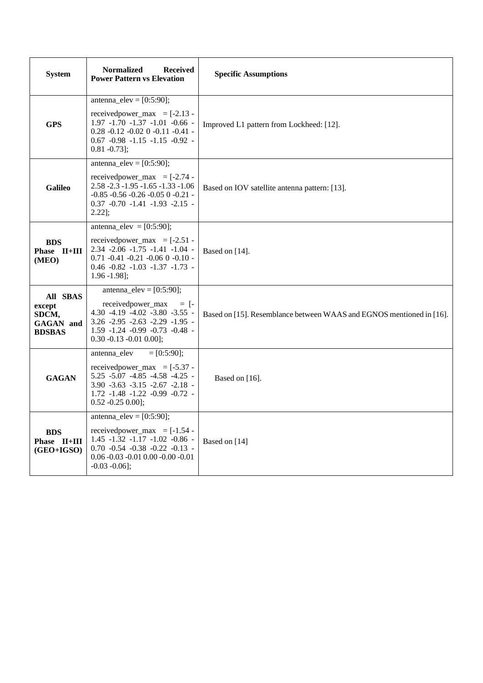| <b>System</b>                                                    | <b>Normalized</b><br><b>Received</b><br><b>Power Pattern vs Elevation</b>                                                                                                                                                    | <b>Specific Assumptions</b>                                          |  |  |
|------------------------------------------------------------------|------------------------------------------------------------------------------------------------------------------------------------------------------------------------------------------------------------------------------|----------------------------------------------------------------------|--|--|
| <b>GPS</b>                                                       | antenna_elev = $[0:5:90]$ ;<br>received power_max = $[-2.13 -$<br>$1.97 - 1.70 - 1.37 - 1.01 - 0.66$ -<br>$0.28 -0.12 -0.02$ 0 $-0.11 -0.41$ -<br>$0.67 -0.98 -1.15 -1.15 -0.92$ -<br>$0.81 - 0.73$ ;                        | Improved L1 pattern from Lockheed: [12].                             |  |  |
| <b>Galileo</b>                                                   | antenna_elev = $[0:5:90]$ ;<br>received power_max = $[-2.74 -$<br>$2.58 - 2.3 - 1.95 - 1.65 - 1.33 - 1.06$<br>$-0.85 -0.56 -0.26 -0.05$ 0 $-0.21$ -<br>$0.37 -0.70 -1.41 -1.93 -2.15$<br>$2.22$ ];                           | Based on IOV satellite antenna pattern: [13].                        |  |  |
| <b>BDS</b><br>Phase II+III<br>(MEO)                              | antenna_elev = $[0:5:90]$ ;<br>received power_max = $[-2.51 -$<br>$2.34 - 2.06 - 1.75 - 1.41 - 1.04$<br>$0.71 - 0.41 - 0.21 - 0.06$ 0 $-0.10$ -<br>$0.46 -0.82 -1.03 -1.37 -1.73$<br>$1.96 - 1.98$ :                         | Based on $[14]$ .                                                    |  |  |
| All SBAS<br>except<br>SDCM,<br><b>GAGAN</b> and<br><b>BDSBAS</b> | antenna_elev = $[0:5:90]$ ;<br>receivedpower_max<br>$=$ [-<br>$4.30 -4.19 -4.02 -3.80 -3.55$<br>$3.26 - 2.95 - 2.63 - 2.29 - 1.95$<br>$1.59 - 1.24 - 0.99 - 0.73 - 0.48$ -<br>$0.30 -0.13 -0.01 0.00$ ;                      | Based on [15]. Resemblance between WAAS and EGNOS mentioned in [16]. |  |  |
| <b>GAGAN</b>                                                     | antenna elev<br>$= [0:5:90]:$<br>received power_max = $[-5.37 -$<br>$5.25 - 5.07 - 4.85 - 4.58 - 4.25$<br>$3.90 - 3.63 - 3.15 - 2.67 - 2.18$<br>1.72 -1.48 -1.22 -0.99 -0.72 -<br>$0.52 - 0.25 0.00$ ];                      | Based on $[16]$ .                                                    |  |  |
| <b>BDS</b><br>Phase II+III<br>(GEO+IGSO)                         | $\overline{\text{antenna\_elev}} = [0:5:90];$<br>received power_max = $[-1.54 -$<br>$1.45 - 1.32 - 1.17 - 1.02 - 0.86$<br>$0.70 -0.54 -0.38 -0.22 -0.13 -$<br>$0.06 - 0.03 - 0.01$ $0.00 - 0.00 - 0.01$<br>$-0.03 - 0.06$ ]; | Based on [14]                                                        |  |  |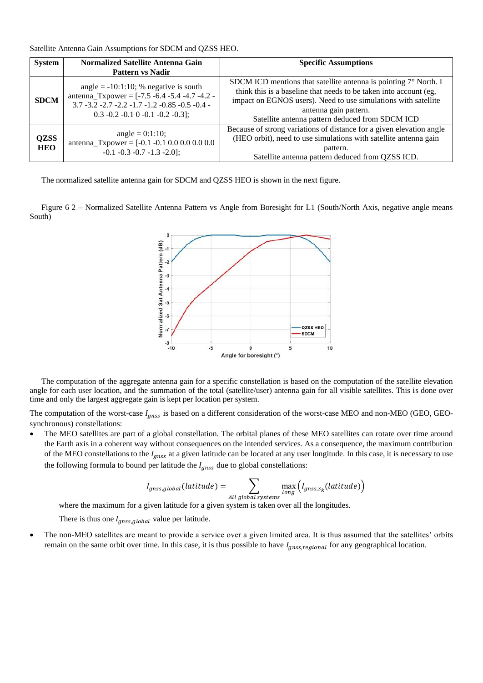Satellite Antenna Gain Assumptions for SDCM and QZSS HEO.

| <b>System</b>             | Normalized Satellite Antenna Gain                                                                                                                                                                | <b>Specific Assumptions</b>                                                                                                                                                                                                                                                                |  |  |
|---------------------------|--------------------------------------------------------------------------------------------------------------------------------------------------------------------------------------------------|--------------------------------------------------------------------------------------------------------------------------------------------------------------------------------------------------------------------------------------------------------------------------------------------|--|--|
|                           | <b>Pattern vs Nadir</b>                                                                                                                                                                          |                                                                                                                                                                                                                                                                                            |  |  |
| <b>SDCM</b>               | angle = $-10:1:10$ ; % negative is south<br>antenna_Txpower = $[-7.5 -6.4 -5.4 -4.7 -4.2 -$<br>$3.7 - 3.2 - 2.7 - 2.2 - 1.7 - 1.2 - 0.85 - 0.5 - 0.4$<br>$0.3 - 0.2 - 0.1 0 - 0.1 - 0.2 - 0.3$ ; | SDCM ICD mentions that satellite antenna is pointing $7^\circ$ North. I<br>think this is a baseline that needs to be taken into account (eg,<br>impact on EGNOS users). Need to use simulations with satellite<br>antenna gain pattern.<br>Satellite antenna pattern deduced from SDCM ICD |  |  |
| <b>QZSS</b><br><b>HEO</b> | angle = $0:1:10$ ;<br>antenna_Txpower = $[-0.1 -0.1 0.0 0.0 0.0 0.0$<br>$-0.1 - 0.3 - 0.7 - 1.3 - 2.0$ ;                                                                                         | Because of strong variations of distance for a given elevation angle<br>(HEO orbit), need to use simulations with satellite antenna gain<br>pattern.<br>Satellite antenna pattern deduced from QZSS ICD.                                                                                   |  |  |

The normalized satellite antenna gain for SDCM and QZSS HEO is shown in the next figure.

Figure 6 2 – Normalized Satellite Antenna Pattern vs Angle from Boresight for L1 (South/North Axis, negative angle means South)



The computation of the aggregate antenna gain for a specific constellation is based on the computation of the satellite elevation angle for each user location, and the summation of the total (satellite/user) antenna gain for all visible satellites. This is done over time and only the largest aggregate gain is kept per location per system.

The computation of the worst-case  $I_{anss}$  is based on a different consideration of the worst-case MEO and non-MEO (GEO, GEOsynchronous) constellations:

• The MEO satellites are part of a global constellation. The orbital planes of these MEO satellites can rotate over time around the Earth axis in a coherent way without consequences on the intended services. As a consequence, the maximum contribution of the MEO constellations to the  $I_{gnss}$  at a given latitude can be located at any user longitude. In this case, it is necessary to use the following formula to bound per latitude the  $I_{anss}$  due to global constellations:

$$
I_{gnss,global}(latitude) = \sum_{All\ global\ systems} \max_{long} (I_{gnss,S_k}(latitude))
$$

where the maximum for a given latitude for a given system is taken over all the longitudes.

There is thus one  $I_{gnss, global}$  value per latitude.

• The non-MEO satellites are meant to provide a service over a given limited area. It is thus assumed that the satellites' orbits remain on the same orbit over time. In this case, it is thus possible to have  $I_{gnss, regional}$  for any geographical location.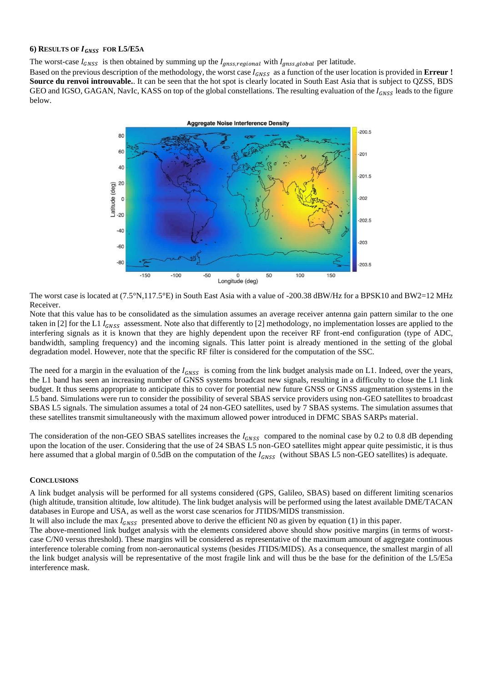#### **6) RESULTS OF FOR L5/E5<sup>A</sup>**

The worst-case  $I_{GNSS}$  is then obtained by summing up the  $I_{gnss,regional}$  with  $I_{gnss,global}$  per latitude.

Based on the previous description of the methodology, the worst case  $I_{GNSS}$  as a function of the user location is provided in **Erreur** ! **Source du renvoi introuvable.**. It can be seen that the hot spot is clearly located in South East Asia that is subject to QZSS, BDS GEO and IGSO, GAGAN, NavIc, KASS on top of the global constellations. The resulting evaluation of the  $I_{GNSS}$  leads to the figure below.



The worst case is located at (7.5°N,117.5°E) in South East Asia with a value of -200.38 dBW/Hz for a BPSK10 and BW2=12 MHz Receiver.

Note that this value has to be consolidated as the simulation assumes an average receiver antenna gain pattern similar to the one taken in [2] for the L1  $I_{GNSS}$  assessment. Note also that differently to [2] methodology, no implementation losses are applied to the interfering signals as it is known that they are highly dependent upon the receiver RF front-end configuration (type of ADC, bandwidth, sampling frequency) and the incoming signals. This latter point is already mentioned in the setting of the global degradation model. However, note that the specific RF filter is considered for the computation of the SSC.

The need for a margin in the evaluation of the  $I_{GNSS}$  is coming from the link budget analysis made on L1. Indeed, over the years, the L1 band has seen an increasing number of GNSS systems broadcast new signals, resulting in a difficulty to close the L1 link budget. It thus seems appropriate to anticipate this to cover for potential new future GNSS or GNSS augmentation systems in the L5 band. Simulations were run to consider the possibility of several SBAS service providers using non-GEO satellites to broadcast SBAS L5 signals. The simulation assumes a total of 24 non-GEO satellites, used by 7 SBAS systems. The simulation assumes that these satellites transmit simultaneously with the maximum allowed power introduced in DFMC SBAS SARPs material.

The consideration of the non-GEO SBAS satellites increases the  $I_{GNSS}$  compared to the nominal case by 0.2 to 0.8 dB depending upon the location of the user. Considering that the use of 24 SBAS L5 non-GEO satellites might appear quite pessimistic, it is thus here assumed that a global margin of 0.5dB on the computation of the  $I_{GNSS}$  (without SBAS L5 non-GEO satellites) is adequate.

## **CONCLUSIONS**

A link budget analysis will be performed for all systems considered (GPS, Galileo, SBAS) based on different limiting scenarios (high altitude, transition altitude, low altitude). The link budget analysis will be performed using the latest available DME/TACAN databases in Europe and USA, as well as the worst case scenarios for JTIDS/MIDS transmission.

It will also include the max  $I_{GNSS}$  presented above to derive the efficient N0 as given by equation (1) in this paper.

The above-mentioned link budget analysis with the elements considered above should show positive margins (in terms of worstcase C/N0 versus threshold). These margins will be considered as representative of the maximum amount of aggregate continuous interference tolerable coming from non-aeronautical systems (besides JTIDS/MIDS). As a consequence, the smallest margin of all the link budget analysis will be representative of the most fragile link and will thus be the base for the definition of the L5/E5a interference mask.